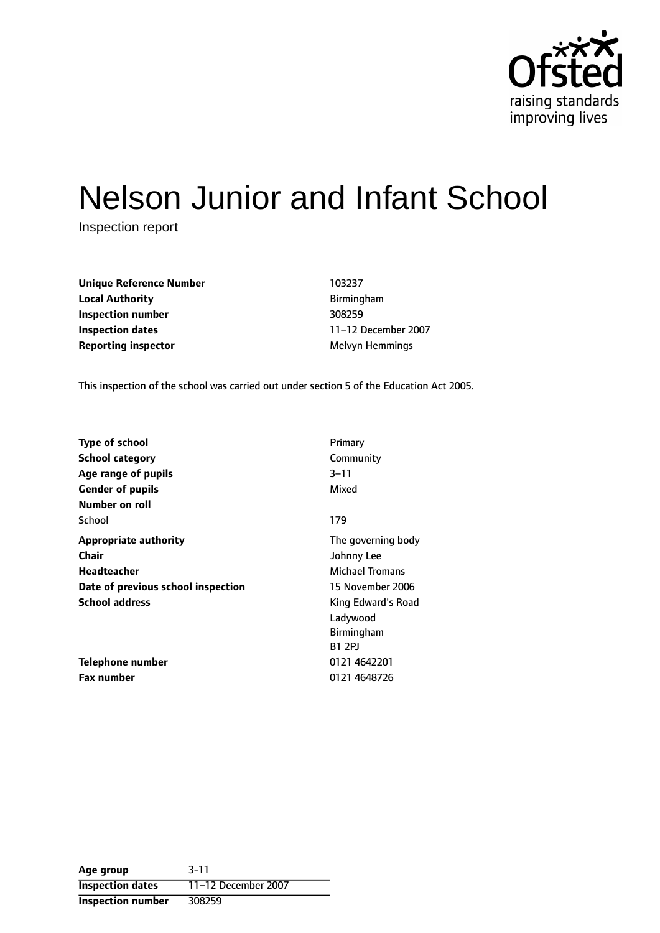

# Nelson Junior and Infant School

Inspection report

| <b>Unique Reference Number</b> | 103237                 |
|--------------------------------|------------------------|
| <b>Local Authority</b>         | Birmingham             |
| Inspection number              | 308259                 |
| Inspection dates               | 11-12 December 2       |
| <b>Reporting inspector</b>     | <b>Melvyn Hemmings</b> |

**Local Authority** Birmingham **Inspection number** 308259 **Inspection dates** 1112 December 2007

This inspection of the school was carried out under section 5 of the Education Act 2005.

| <b>Type of school</b>              | Primary                |
|------------------------------------|------------------------|
| <b>School category</b>             | Community              |
| Age range of pupils                | $3 - 11$               |
| <b>Gender of pupils</b>            | Mixed                  |
| Number on roll                     |                        |
| School                             | 179                    |
| <b>Appropriate authority</b>       | The governing body     |
| Chair                              | Johnny Lee             |
| Headteacher                        | <b>Michael Tromans</b> |
| Date of previous school inspection | 15 November 2006       |
| <b>School address</b>              | King Edward's Road     |
|                                    | Ladywood               |
|                                    | Birmingham             |
|                                    | <b>B1 2PJ</b>          |
| Telephone number                   | 0121 4642201           |
| <b>Fax number</b>                  | 0121 4648726           |

**Age group** 3-11 **Inspection dates** 11-12 December 2007 **Inspection number** 308259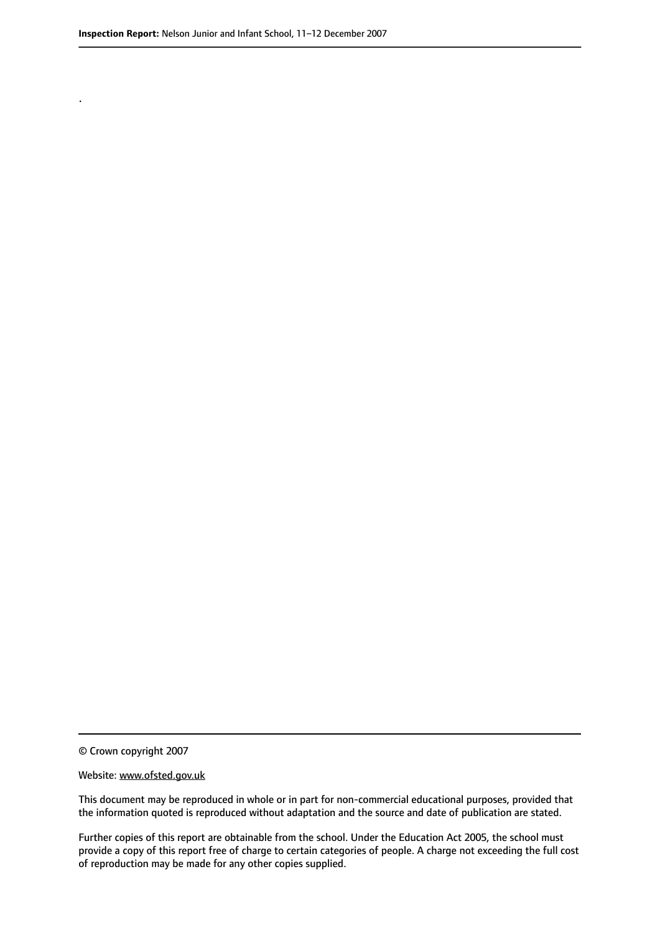.

© Crown copyright 2007

#### Website: www.ofsted.gov.uk

This document may be reproduced in whole or in part for non-commercial educational purposes, provided that the information quoted is reproduced without adaptation and the source and date of publication are stated.

Further copies of this report are obtainable from the school. Under the Education Act 2005, the school must provide a copy of this report free of charge to certain categories of people. A charge not exceeding the full cost of reproduction may be made for any other copies supplied.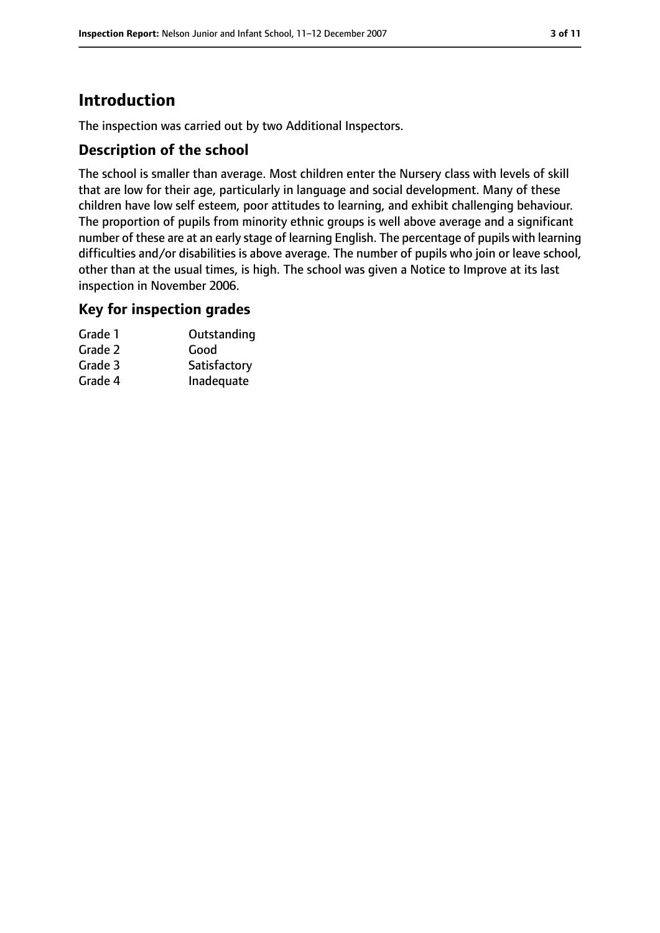# **Introduction**

The inspection was carried out by two Additional Inspectors.

## **Description of the school**

The school is smaller than average. Most children enter the Nursery class with levels of skill that are low for their age, particularly in language and social development. Many of these children have low self esteem, poor attitudes to learning, and exhibit challenging behaviour. The proportion of pupils from minority ethnic groups is well above average and a significant number of these are at an early stage of learning English. The percentage of pupils with learning difficulties and/or disabilities is above average. The number of pupils who join or leave school, other than at the usual times, is high. The school was given a Notice to Improve at its last inspection in November 2006.

## **Key for inspection grades**

| Grade 1 | Outstanding  |
|---------|--------------|
| Grade 2 | Good         |
| Grade 3 | Satisfactory |
| Grade 4 | Inadequate   |
|         |              |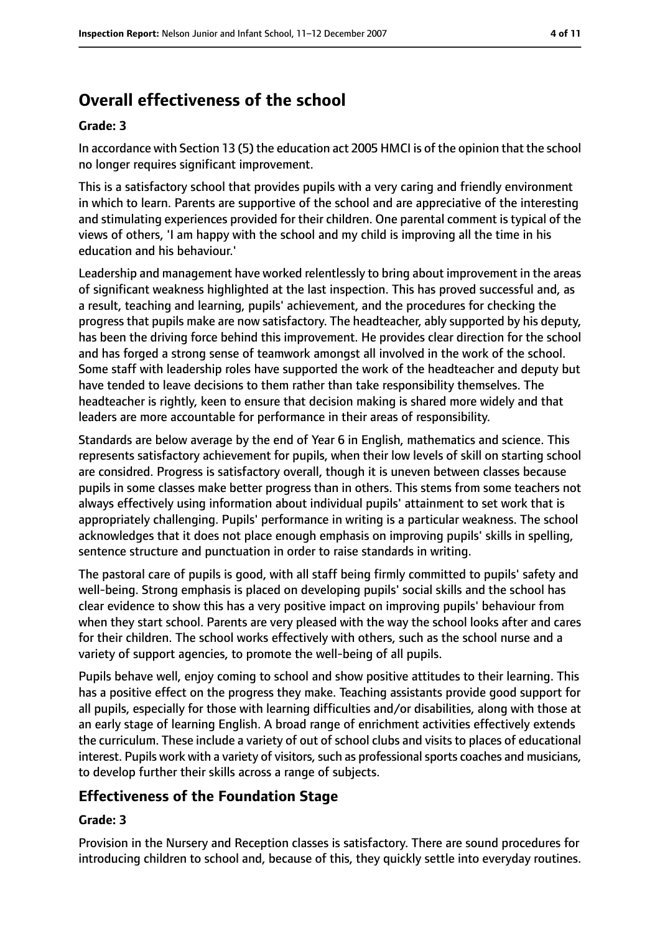# **Overall effectiveness of the school**

#### **Grade: 3**

In accordance with Section 13 (5) the education act 2005 HMCI is of the opinion that the school no longer requires significant improvement.

This is a satisfactory school that provides pupils with a very caring and friendly environment in which to learn. Parents are supportive of the school and are appreciative of the interesting and stimulating experiences provided for their children. One parental comment is typical of the views of others, 'I am happy with the school and my child is improving all the time in his education and his behaviour.'

Leadership and management have worked relentlessly to bring about improvement in the areas of significant weakness highlighted at the last inspection. This has proved successful and, as a result, teaching and learning, pupils' achievement, and the procedures for checking the progress that pupils make are now satisfactory. The headteacher, ably supported by his deputy, has been the driving force behind this improvement. He provides clear direction for the school and has forged a strong sense of teamwork amongst all involved in the work of the school. Some staff with leadership roles have supported the work of the headteacher and deputy but have tended to leave decisions to them rather than take responsibility themselves. The headteacher is rightly, keen to ensure that decision making is shared more widely and that leaders are more accountable for performance in their areas of responsibility.

Standards are below average by the end of Year 6 in English, mathematics and science. This represents satisfactory achievement for pupils, when their low levels of skill on starting school are considred. Progress is satisfactory overall, though it is uneven between classes because pupils in some classes make better progress than in others. This stems from some teachers not always effectively using information about individual pupils' attainment to set work that is appropriately challenging. Pupils' performance in writing is a particular weakness. The school acknowledges that it does not place enough emphasis on improving pupils' skills in spelling, sentence structure and punctuation in order to raise standards in writing.

The pastoral care of pupils is good, with all staff being firmly committed to pupils' safety and well-being. Strong emphasis is placed on developing pupils' social skills and the school has clear evidence to show this has a very positive impact on improving pupils' behaviour from when they start school. Parents are very pleased with the way the school looks after and cares for their children. The school works effectively with others, such as the school nurse and a variety of support agencies, to promote the well-being of all pupils.

Pupils behave well, enjoy coming to school and show positive attitudes to their learning. This has a positive effect on the progress they make. Teaching assistants provide good support for all pupils, especially for those with learning difficulties and/or disabilities, along with those at an early stage of learning English. A broad range of enrichment activities effectively extends the curriculum. These include a variety of out of school clubs and visits to places of educational interest. Pupils work with a variety of visitors, such as professional sports coaches and musicians, to develop further their skills across a range of subjects.

# **Effectiveness of the Foundation Stage**

## **Grade: 3**

Provision in the Nursery and Reception classes is satisfactory. There are sound procedures for introducing children to school and, because of this, they quickly settle into everyday routines.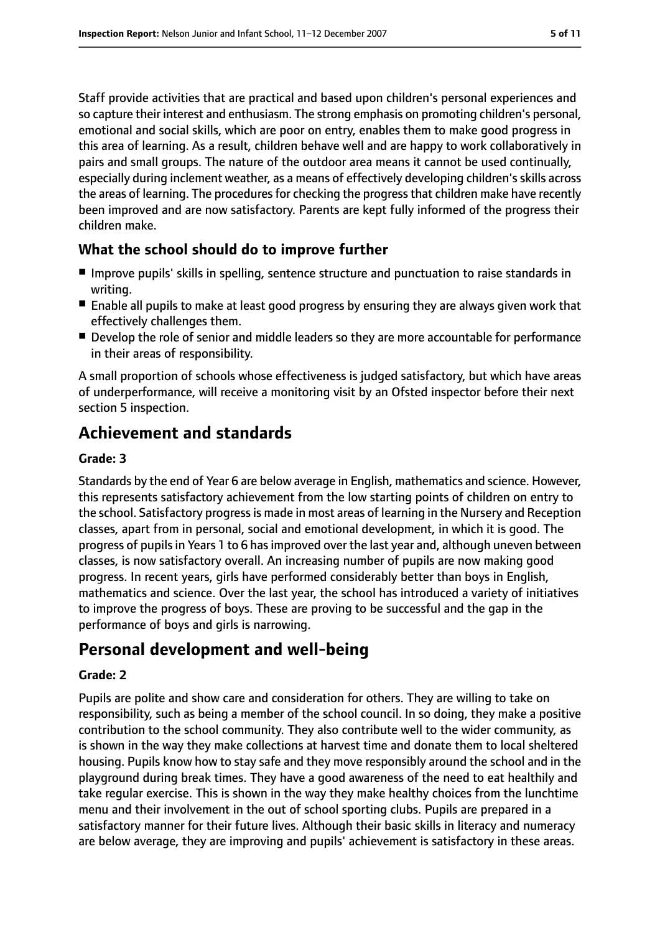Staff provide activities that are practical and based upon children's personal experiences and so capture their interest and enthusiasm. The strong emphasis on promoting children's personal, emotional and social skills, which are poor on entry, enables them to make good progress in this area of learning. As a result, children behave well and are happy to work collaboratively in pairs and small groups. The nature of the outdoor area means it cannot be used continually, especially during inclement weather, as a means of effectively developing children's skills across the areas of learning. The procedures for checking the progress that children make have recently been improved and are now satisfactory. Parents are kept fully informed of the progress their children make.

#### **What the school should do to improve further**

- Improve pupils' skills in spelling, sentence structure and punctuation to raise standards in writing.
- Enable all pupils to make at least good progress by ensuring they are always given work that effectively challenges them.
- Develop the role of senior and middle leaders so they are more accountable for performance in their areas of responsibility.

A small proportion of schools whose effectiveness is judged satisfactory, but which have areas of underperformance, will receive a monitoring visit by an Ofsted inspector before their next section 5 inspection.

# **Achievement and standards**

#### **Grade: 3**

Standards by the end of Year 6 are below average in English, mathematics and science. However, this represents satisfactory achievement from the low starting points of children on entry to the school. Satisfactory progressis made in most areas of learning in the Nursery and Reception classes, apart from in personal, social and emotional development, in which it is good. The progress of pupils in Years 1 to 6 has improved over the last year and, although uneven between classes, is now satisfactory overall. An increasing number of pupils are now making good progress. In recent years, girls have performed considerably better than boys in English, mathematics and science. Over the last year, the school has introduced a variety of initiatives to improve the progress of boys. These are proving to be successful and the gap in the performance of boys and girls is narrowing.

# **Personal development and well-being**

#### **Grade: 2**

Pupils are polite and show care and consideration for others. They are willing to take on responsibility, such as being a member of the school council. In so doing, they make a positive contribution to the school community. They also contribute well to the wider community, as is shown in the way they make collections at harvest time and donate them to local sheltered housing. Pupils know how to stay safe and they move responsibly around the school and in the playground during break times. They have a good awareness of the need to eat healthily and take regular exercise. This is shown in the way they make healthy choices from the lunchtime menu and their involvement in the out of school sporting clubs. Pupils are prepared in a satisfactory manner for their future lives. Although their basic skills in literacy and numeracy are below average, they are improving and pupils' achievement is satisfactory in these areas.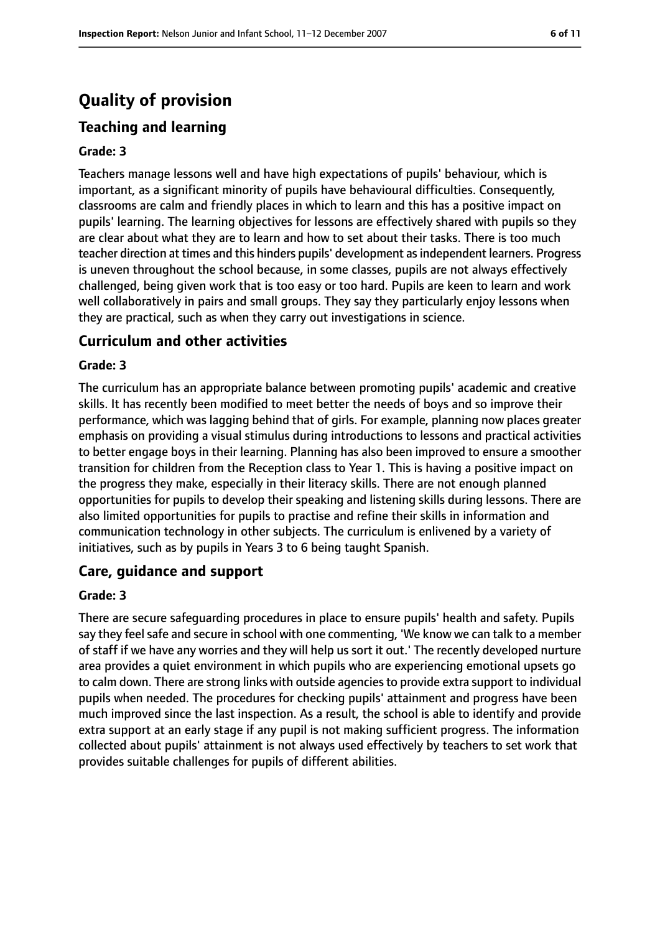# **Quality of provision**

# **Teaching and learning**

#### **Grade: 3**

Teachers manage lessons well and have high expectations of pupils' behaviour, which is important, as a significant minority of pupils have behavioural difficulties. Consequently, classrooms are calm and friendly places in which to learn and this has a positive impact on pupils' learning. The learning objectives for lessons are effectively shared with pupils so they are clear about what they are to learn and how to set about their tasks. There is too much teacher direction at times and this hinders pupils' development as independent learners. Progress is uneven throughout the school because, in some classes, pupils are not always effectively challenged, being given work that is too easy or too hard. Pupils are keen to learn and work well collaboratively in pairs and small groups. They say they particularly enjoy lessons when they are practical, such as when they carry out investigations in science.

## **Curriculum and other activities**

#### **Grade: 3**

The curriculum has an appropriate balance between promoting pupils' academic and creative skills. It has recently been modified to meet better the needs of boys and so improve their performance, which was lagging behind that of girls. For example, planning now places greater emphasis on providing a visual stimulus during introductions to lessons and practical activities to better engage boys in their learning. Planning has also been improved to ensure a smoother transition for children from the Reception class to Year 1. This is having a positive impact on the progress they make, especially in their literacy skills. There are not enough planned opportunities for pupils to develop their speaking and listening skills during lessons. There are also limited opportunities for pupils to practise and refine their skills in information and communication technology in other subjects. The curriculum is enlivened by a variety of initiatives, such as by pupils in Years 3 to 6 being taught Spanish.

## **Care, guidance and support**

#### **Grade: 3**

There are secure safeguarding procedures in place to ensure pupils' health and safety. Pupils say they feel safe and secure in school with one commenting, 'We know we can talk to a member of staff if we have any worries and they will help us sort it out.' The recently developed nurture area provides a quiet environment in which pupils who are experiencing emotional upsets go to calm down. There are strong links with outside agenciesto provide extra support to individual pupils when needed. The procedures for checking pupils' attainment and progress have been much improved since the last inspection. As a result, the school is able to identify and provide extra support at an early stage if any pupil is not making sufficient progress. The information collected about pupils' attainment is not always used effectively by teachers to set work that provides suitable challenges for pupils of different abilities.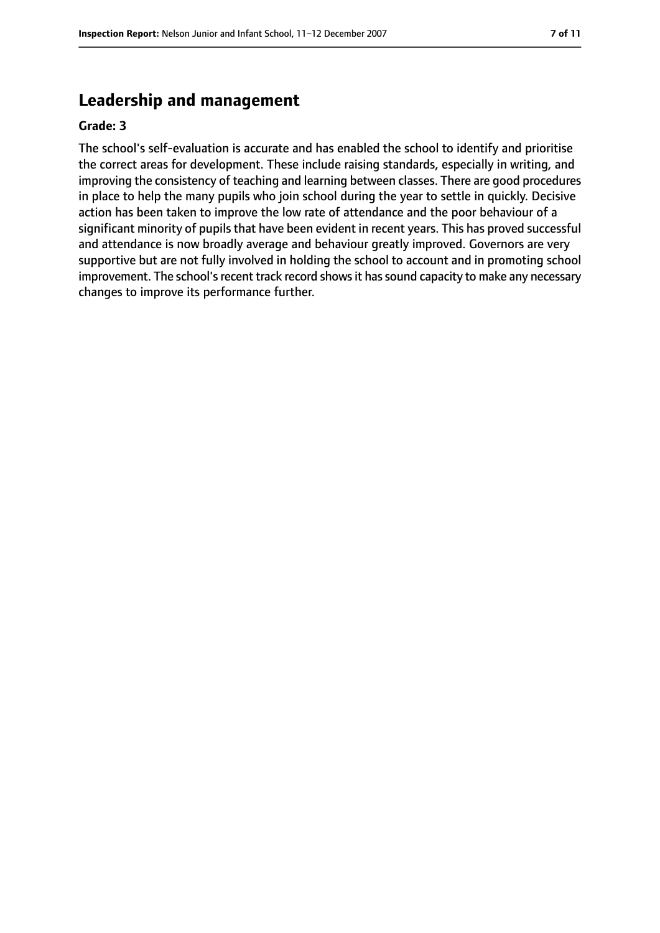# **Leadership and management**

#### **Grade: 3**

The school's self-evaluation is accurate and has enabled the school to identify and prioritise the correct areas for development. These include raising standards, especially in writing, and improving the consistency of teaching and learning between classes. There are good procedures in place to help the many pupils who join school during the year to settle in quickly. Decisive action has been taken to improve the low rate of attendance and the poor behaviour of a significant minority of pupils that have been evident in recent years. This has proved successful and attendance is now broadly average and behaviour greatly improved. Governors are very supportive but are not fully involved in holding the school to account and in promoting school improvement. The school's recent track record shows it has sound capacity to make any necessary changes to improve its performance further.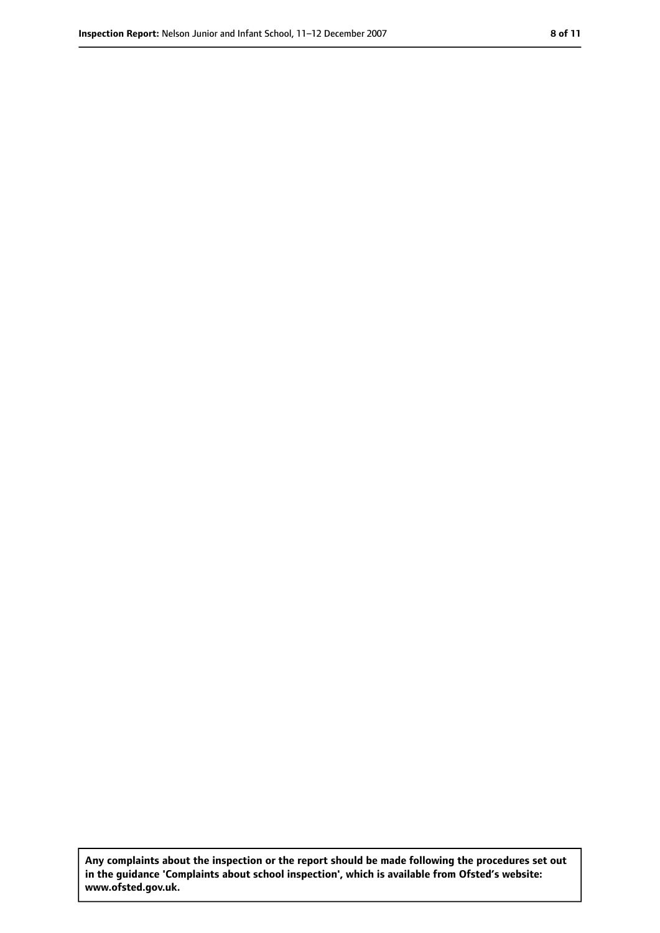**Any complaints about the inspection or the report should be made following the procedures set out in the guidance 'Complaints about school inspection', which is available from Ofsted's website: www.ofsted.gov.uk.**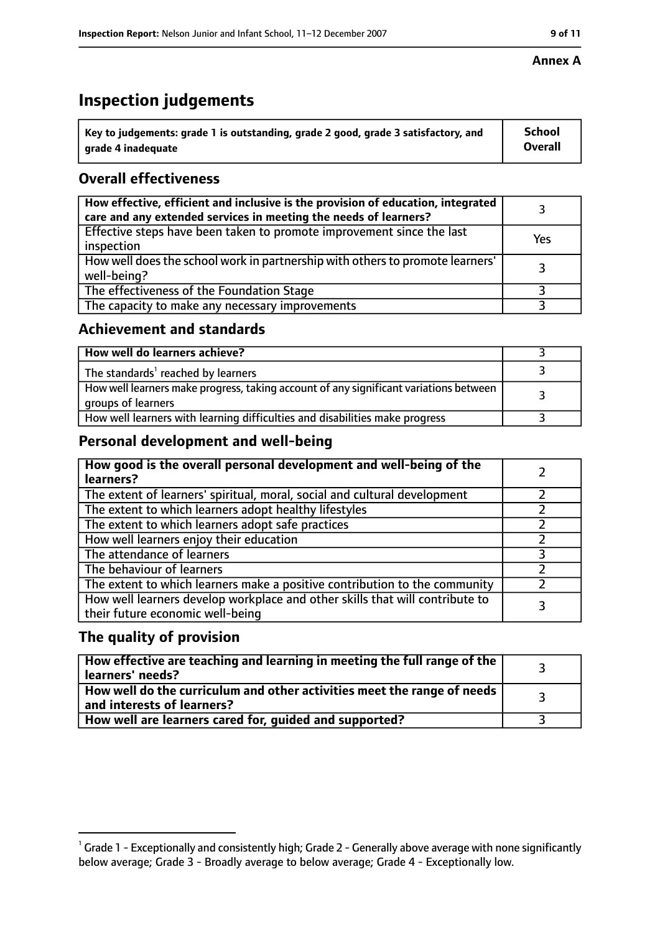# **Inspection judgements**

| $^{\backprime}$ Key to judgements: grade 1 is outstanding, grade 2 good, grade 3 satisfactory, and | <b>School</b>  |
|----------------------------------------------------------------------------------------------------|----------------|
| arade 4 inadequate                                                                                 | <b>Overall</b> |

# **Overall effectiveness**

| How effective, efficient and inclusive is the provision of education, integrated<br>care and any extended services in meeting the needs of learners? |     |
|------------------------------------------------------------------------------------------------------------------------------------------------------|-----|
| Effective steps have been taken to promote improvement since the last<br>inspection                                                                  | Yes |
| How well does the school work in partnership with others to promote learners'<br>well-being?                                                         |     |
| The effectiveness of the Foundation Stage                                                                                                            |     |
| The capacity to make any necessary improvements                                                                                                      |     |

## **Achievement and standards**

| How well do learners achieve?                                                                               |  |
|-------------------------------------------------------------------------------------------------------------|--|
| The standards <sup>1</sup> reached by learners                                                              |  |
| How well learners make progress, taking account of any significant variations between<br>groups of learners |  |
| How well learners with learning difficulties and disabilities make progress                                 |  |

# **Personal development and well-being**

| How good is the overall personal development and well-being of the<br>learners?                                  |  |
|------------------------------------------------------------------------------------------------------------------|--|
| The extent of learners' spiritual, moral, social and cultural development                                        |  |
| The extent to which learners adopt healthy lifestyles                                                            |  |
| The extent to which learners adopt safe practices                                                                |  |
| How well learners enjoy their education                                                                          |  |
| The attendance of learners                                                                                       |  |
| The behaviour of learners                                                                                        |  |
| The extent to which learners make a positive contribution to the community                                       |  |
| How well learners develop workplace and other skills that will contribute to<br>their future economic well-being |  |

## **The quality of provision**

| How effective are teaching and learning in meeting the full range of the<br>learners' needs?          |  |
|-------------------------------------------------------------------------------------------------------|--|
| How well do the curriculum and other activities meet the range of needs<br>and interests of learners? |  |
| How well are learners cared for, guided and supported?                                                |  |

#### **Annex A**

 $^1$  Grade 1 - Exceptionally and consistently high; Grade 2 - Generally above average with none significantly below average; Grade 3 - Broadly average to below average; Grade 4 - Exceptionally low.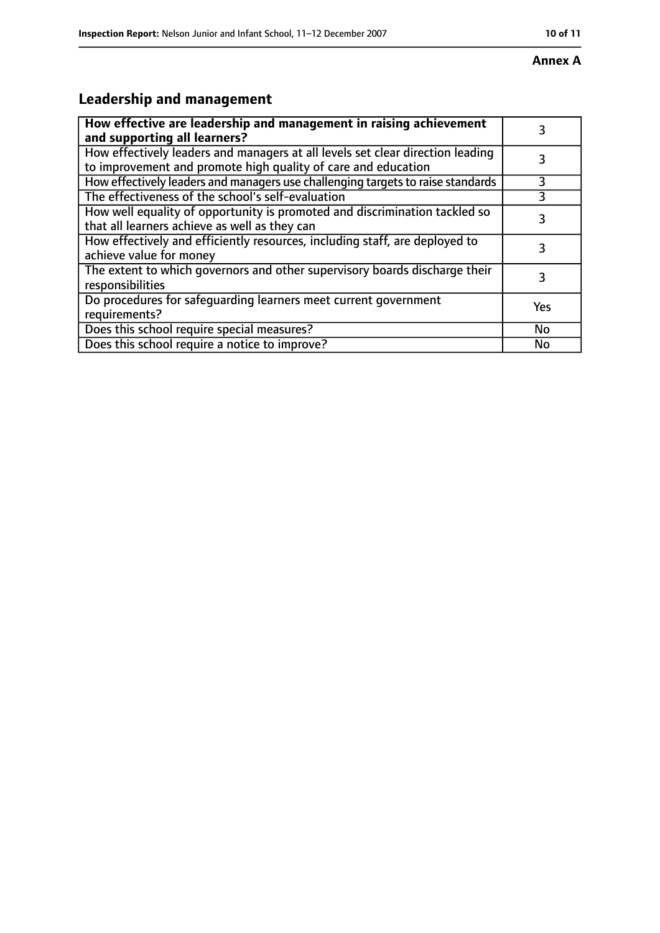#### **Annex A**

# **Leadership and management**

| How effective are leadership and management in raising achievement<br>and supporting all learners?                                              | 3         |
|-------------------------------------------------------------------------------------------------------------------------------------------------|-----------|
| How effectively leaders and managers at all levels set clear direction leading<br>to improvement and promote high quality of care and education |           |
| How effectively leaders and managers use challenging targets to raise standards                                                                 | 3         |
| The effectiveness of the school's self-evaluation                                                                                               |           |
| How well equality of opportunity is promoted and discrimination tackled so<br>that all learners achieve as well as they can                     | 3         |
| How effectively and efficiently resources, including staff, are deployed to<br>achieve value for money                                          | 3         |
| The extent to which governors and other supervisory boards discharge their<br>responsibilities                                                  | 3         |
| Do procedures for safequarding learners meet current government<br>requirements?                                                                | Yes       |
| Does this school require special measures?                                                                                                      | <b>No</b> |
| Does this school require a notice to improve?                                                                                                   | No        |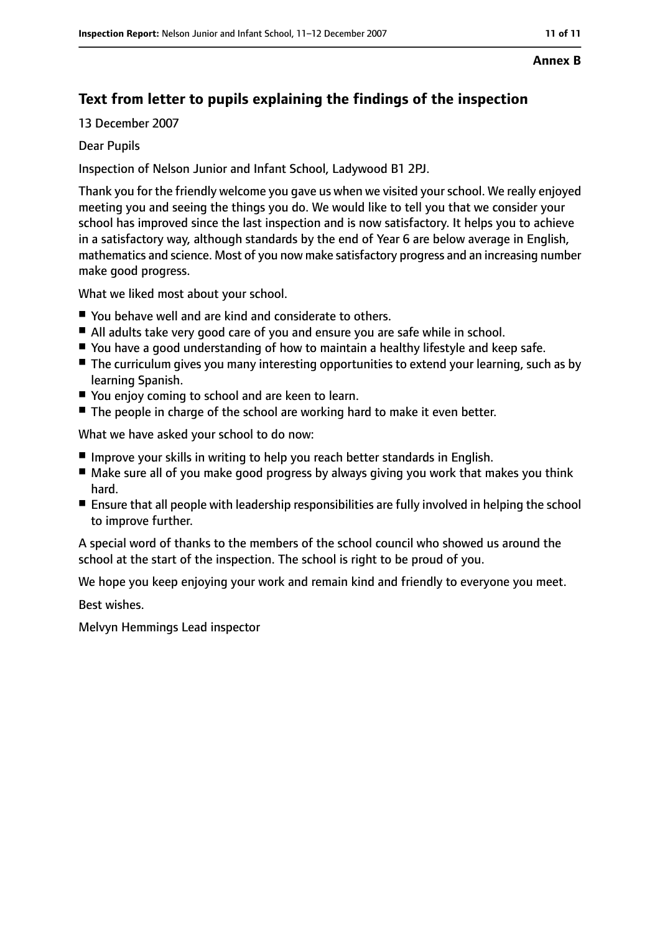#### **Annex B**

# **Text from letter to pupils explaining the findings of the inspection**

13 December 2007

#### Dear Pupils

Inspection of Nelson Junior and Infant School, Ladywood B1 2PJ.

Thank you for the friendly welcome you gave us when we visited your school. We really enjoyed meeting you and seeing the things you do. We would like to tell you that we consider your school has improved since the last inspection and is now satisfactory. It helps you to achieve in a satisfactory way, although standards by the end of Year 6 are below average in English, mathematics and science. Most of you now make satisfactory progress and an increasing number make good progress.

What we liked most about your school.

- You behave well and are kind and considerate to others.
- All adults take very good care of you and ensure you are safe while in school.
- You have a good understanding of how to maintain a healthy lifestyle and keep safe.
- The curriculum gives you many interesting opportunities to extend your learning, such as by learning Spanish.
- You enjoy coming to school and are keen to learn.
- The people in charge of the school are working hard to make it even better.

What we have asked your school to do now:

- Improve your skills in writing to help you reach better standards in English.
- Make sure all of you make good progress by always giving you work that makes you think hard.
- Ensure that all people with leadership responsibilities are fully involved in helping the school to improve further.

A special word of thanks to the members of the school council who showed us around the school at the start of the inspection. The school is right to be proud of you.

We hope you keep enjoying your work and remain kind and friendly to everyone you meet.

Best wishes.

Melvyn Hemmings Lead inspector